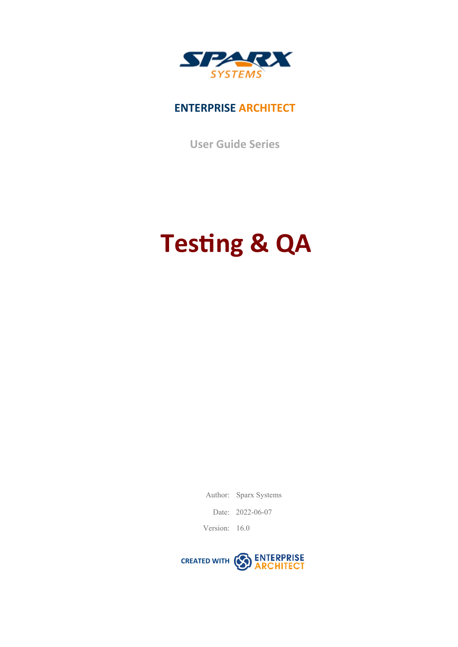

# **ENTERPRISE ARCHITECT**

**User Guide Series**

# **Testing & QA**

Author: Sparx Systems

Date: 2022-06-07

Version: 16.0

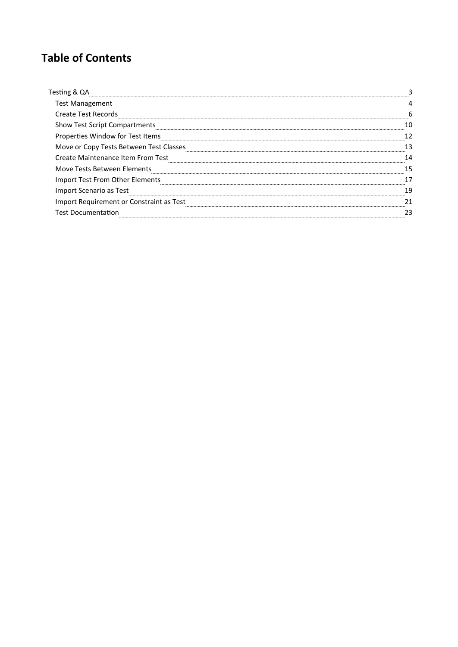# **Table of Contents**

| Testing &                                |  |
|------------------------------------------|--|
| <b>Test Management</b>                   |  |
| <b>Create Test Records</b>               |  |
| <b>Show Test Script Compartments</b>     |  |
| Properties Window for Test Items         |  |
| Move or Copy Tests Between Test Classes  |  |
| <b>Create Maintenance Item From Test</b> |  |
| Move Tests Between Elements              |  |
| Import Test From Other Elements          |  |
| Import Scenario as Test                  |  |
| Import Requirement or Constraint as Test |  |
| <b>Test Documentation</b>                |  |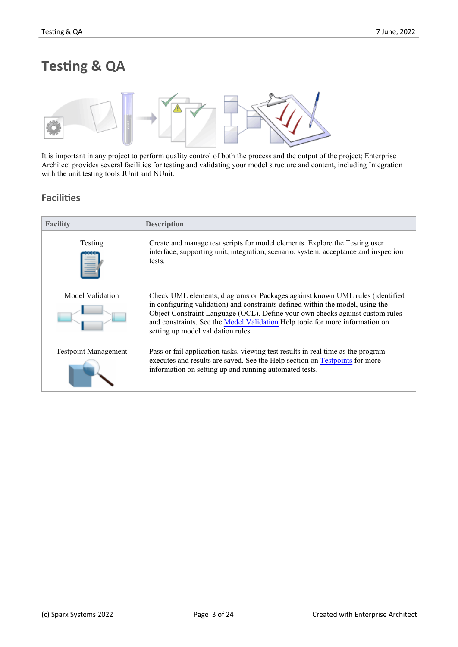# **Testing & QA**



It is important in any project to perform quality control of both the process and the output of the project; Enterprise Architect provides several facilities for testing and validating your model structure and content, including Integration with the unit testing tools JUnit and NUnit.

### **Facilities**

| <b>Facility</b>             | <b>Description</b>                                                                                                                                                                                                                                                                                                                                                    |
|-----------------------------|-----------------------------------------------------------------------------------------------------------------------------------------------------------------------------------------------------------------------------------------------------------------------------------------------------------------------------------------------------------------------|
| Testing                     | Create and manage test scripts for model elements. Explore the Testing user<br>interface, supporting unit, integration, scenario, system, acceptance and inspection<br>tests.                                                                                                                                                                                         |
| Model Validation            | Check UML elements, diagrams or Packages against known UML rules (identified<br>in configuring validation) and constraints defined within the model, using the<br>Object Constraint Language (OCL). Define your own checks against custom rules<br>and constraints. See the Model Validation Help topic for more information on<br>setting up model validation rules. |
| <b>Testpoint Management</b> | Pass or fail application tasks, viewing test results in real time as the program<br>executes and results are saved. See the Help section on Testpoints for more<br>information on setting up and running automated tests.                                                                                                                                             |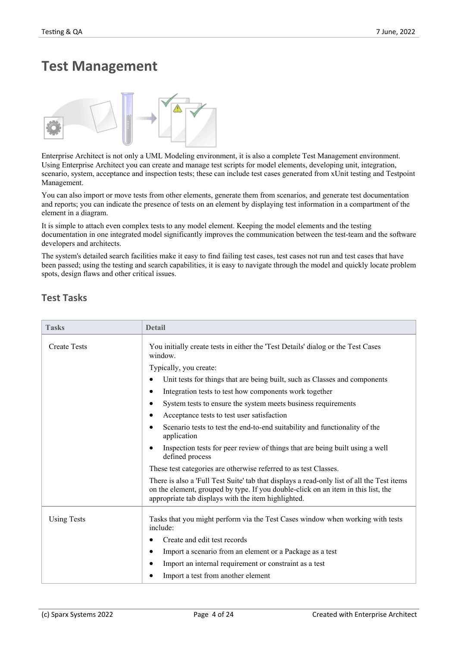# **Test Management**



Enterprise Architect is not only a UML Modeling environment, it is also a complete Test Management environment. Using Enterprise Architect you can create and manage test scripts for model elements, developing unit, integration, scenario, system, acceptance and inspection tests; these can include test cases generated from xUnit testing and Testpoint Management.

You can also import or move tests from other elements, generate them from scenarios, and generate test documentation and reports; you can indicate the presence of tests on an element by displaying test information in a compartment of the element in a diagram.

It is simple to attach even complex tests to any model element. Keeping the model elements and the testing documentation in one integrated model significantly improves the communication between the test-team and the software developers and architects.

The system's detailed search facilities make it easy to find failing test cases, test cases not run and test cases that have been passed; using the testing and search capabilities, it is easy to navigate through the modeland quickly locate problem spots, design flaws and other critical issues.

### **Test Tasks**

| <b>Tasks</b>        | <b>Detail</b>                                                                                                                                                                                                                          |
|---------------------|----------------------------------------------------------------------------------------------------------------------------------------------------------------------------------------------------------------------------------------|
| <b>Create Tests</b> | You initially create tests in either the 'Test Details' dialog or the Test Cases<br>window.                                                                                                                                            |
|                     | Typically, you create:                                                                                                                                                                                                                 |
|                     | Unit tests for things that are being built, such as Classes and components<br>٠                                                                                                                                                        |
|                     | Integration tests to test how components work together<br>٠                                                                                                                                                                            |
|                     | System tests to ensure the system meets business requirements<br>٠                                                                                                                                                                     |
|                     | Acceptance tests to test user satisfaction<br>٠                                                                                                                                                                                        |
|                     | Scenario tests to test the end-to-end suitability and functionality of the<br>$\bullet$<br>application                                                                                                                                 |
|                     | Inspection tests for peer review of things that are being built using a well<br>$\bullet$<br>defined process                                                                                                                           |
|                     | These test categories are otherwise referred to as test Classes.                                                                                                                                                                       |
|                     | There is also a 'Full Test Suite' tab that displays a read-only list of all the Test items<br>on the element, grouped by type. If you double-click on an item in this list, the<br>appropriate tab displays with the item highlighted. |
| <b>Using Tests</b>  | Tasks that you might perform via the Test Cases window when working with tests<br>include:                                                                                                                                             |
|                     | Create and edit test records<br>٠                                                                                                                                                                                                      |
|                     | Import a scenario from an element or a Package as a test<br>٠                                                                                                                                                                          |
|                     | Import an internal requirement or constraint as a test<br>٠                                                                                                                                                                            |
|                     | Import a test from another element<br>٠                                                                                                                                                                                                |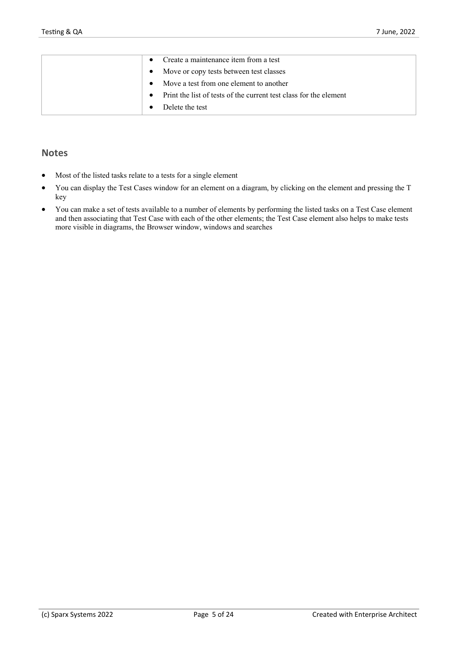| Create a maintenance item from a test                                          |
|--------------------------------------------------------------------------------|
| Move or copy tests between test classes<br>$\bullet$                           |
| Move a test from one element to another                                        |
| Print the list of tests of the current test class for the element<br>$\bullet$ |
| Delete the test                                                                |

#### **Notes**

- Most of the listed tasks relate to a tests for a single element
- · You can display the Test Cases window for an element on a diagram, by clicking on the element and pressing the T key
- · You can make a set of tests available to a number of elements by performing the listed tasks on a Test Case element and then associating that Test Case with each of the other elements; the Test Case element also helps to make tests more visible in diagrams, the Browser window, windows and searches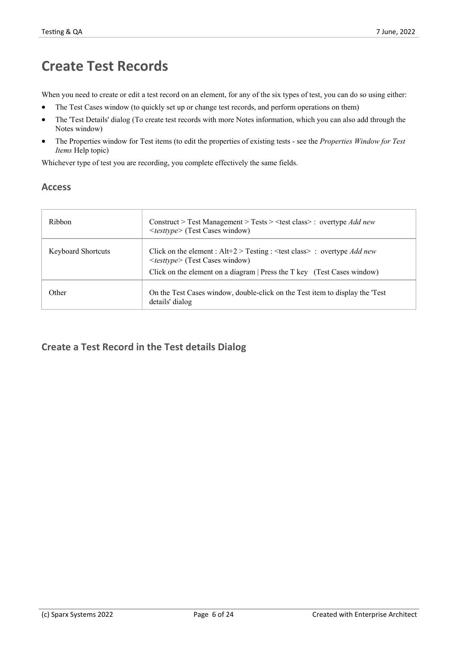# **Create Test Records**

When you need to create or edit a test record on an element, for any of the six types of test, you can do so using either:

- The Test Cases window (to quickly set up or change test records, and perform operations on them)
- The 'Test Details' dialog (To create test records with more Notes information, which you can also add through the Notes window)
- · The Properties window for Test items (to edit the properties ofexisting tests see the *Properties Window for Test Items* Help topic)

Whichever type of test you are recording, you complete effectively the same fields.

### **Access**

| Ribbon                    | Construct > Test Management > Tests > $\leq$ test class> : overtype Add new<br><testtype> (Test Cases window)</testtype>                                                                                   |
|---------------------------|------------------------------------------------------------------------------------------------------------------------------------------------------------------------------------------------------------|
| <b>Keyboard Shortcuts</b> | Click on the element : Alt+2 > Testing : < test class > : overtype <i>Add new</i><br><testtype> (Test Cases window)<br/>Click on the element on a diagram   Press the T key (Test Cases window)</testtype> |
| Other                     | On the Test Cases window, double-click on the Test item to display the Test<br>details' dialog                                                                                                             |

### **Create a Test Record in the Test details Dialog**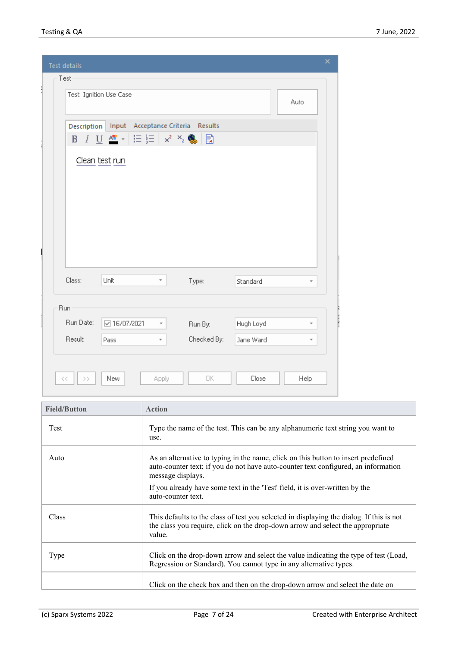| <b>Test details</b> |                                   |                                           |           | ×                        |
|---------------------|-----------------------------------|-------------------------------------------|-----------|--------------------------|
| Test                |                                   |                                           |           |                          |
|                     | Test Ignition Use Case            |                                           |           | Auto                     |
|                     |                                   |                                           |           |                          |
| Description         | Input Acceptance Criteria Results |                                           |           |                          |
| B                   | 拒拒<br>$I \cup \frac{A}{A}$        | $\times^2$ $\times^2$ $\blacksquare$<br>B |           |                          |
|                     | Clean test run                    |                                           |           |                          |
|                     |                                   |                                           |           |                          |
|                     |                                   |                                           |           |                          |
|                     |                                   |                                           |           |                          |
|                     |                                   |                                           |           |                          |
|                     |                                   |                                           |           |                          |
|                     |                                   |                                           |           |                          |
|                     |                                   |                                           |           |                          |
|                     |                                   |                                           |           |                          |
| Class:              | Unit<br>Ŧ                         | Type:                                     | Standard  | ÷                        |
|                     |                                   |                                           |           |                          |
| Run                 |                                   |                                           |           |                          |
|                     | 2 16/07/2021                      | Run By:                                   | Hugh Loyd |                          |
|                     | Ŧ                                 |                                           |           | $\overline{\phantom{a}}$ |
| Run Date:           |                                   |                                           |           |                          |
| Result:             | Pass<br>¥                         | Checked By:                               | Jane Ward | $\overline{\phantom{a}}$ |
|                     |                                   |                                           |           |                          |
| $<<\,$<br>$\,>\,$   | New<br>Apply                      | 0K                                        | Close     | Help                     |

| <b>Field/Button</b> | <b>Action</b>                                                                                                                                                                                 |
|---------------------|-----------------------------------------------------------------------------------------------------------------------------------------------------------------------------------------------|
| Test                | Type the name of the test. This can be any alphanumeric text string you want to<br>use.                                                                                                       |
| Auto                | As an alternative to typing in the name, click on this button to insert predefined<br>auto-counter text; if you do not have auto-counter text configured, an information<br>message displays. |
|                     | If you already have some text in the 'Test' field, it is over-written by the<br>auto-counter text.                                                                                            |
| Class               | This defaults to the class of test you selected in displaying the dialog. If this is not<br>the class you require, click on the drop-down arrow and select the appropriate<br>value.          |
| Type                | Click on the drop-down arrow and select the value indicating the type of test (Load,<br>Regression or Standard). You cannot type in any alternative types.                                    |
|                     | Click on the check box and then on the drop-down arrow and select the date on                                                                                                                 |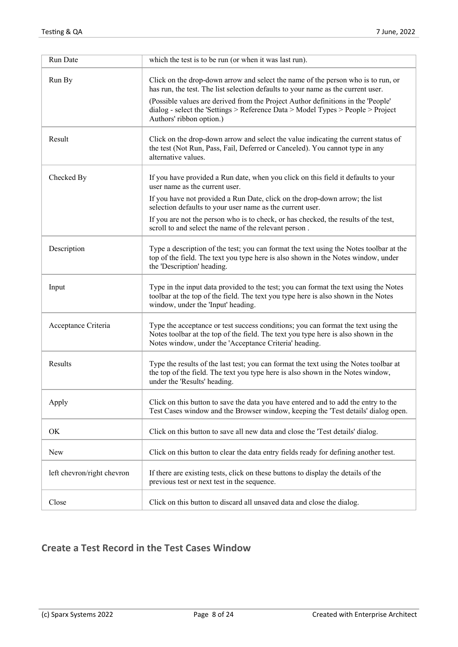| Run Date                   | which the test is to be run (or when it was last run).                                                                                                                                                                            |
|----------------------------|-----------------------------------------------------------------------------------------------------------------------------------------------------------------------------------------------------------------------------------|
| Run By                     | Click on the drop-down arrow and select the name of the person who is to run, or<br>has run, the test. The list selection defaults to your name as the current user.                                                              |
|                            | (Possible values are derived from the Project Author definitions in the 'People'<br>dialog - select the 'Settings > Reference Data > Model Types > People > Project<br>Authors' ribbon option.)                                   |
| Result                     | Click on the drop-down arrow and select the value indicating the current status of<br>the test (Not Run, Pass, Fail, Deferred or Canceled). You cannot type in any<br>alternative values.                                         |
| Checked By                 | If you have provided a Run date, when you click on this field it defaults to your<br>user name as the current user.                                                                                                               |
|                            | If you have not provided a Run Date, click on the drop-down arrow; the list<br>selection defaults to your user name as the current user.                                                                                          |
|                            | If you are not the person who is to check, or has checked, the results of the test,<br>scroll to and select the name of the relevant person.                                                                                      |
| Description                | Type a description of the test; you can format the text using the Notes toolbar at the<br>top of the field. The text you type here is also shown in the Notes window, under<br>the 'Description' heading.                         |
| Input                      | Type in the input data provided to the test; you can format the text using the Notes<br>toolbar at the top of the field. The text you type here is also shown in the Notes<br>window, under the 'Input' heading.                  |
| Acceptance Criteria        | Type the acceptance or test success conditions; you can format the text using the<br>Notes toolbar at the top of the field. The text you type here is also shown in the<br>Notes window, under the 'Acceptance Criteria' heading. |
| Results                    | Type the results of the last test; you can format the text using the Notes toolbar at<br>the top of the field. The text you type here is also shown in the Notes window,<br>under the 'Results' heading.                          |
| Apply                      | Click on this button to save the data you have entered and to add the entry to the<br>Test Cases window and the Browser window, keeping the 'Test details' dialog open.                                                           |
| OK                         | Click on this button to save all new data and close the 'Test details' dialog.                                                                                                                                                    |
| <b>New</b>                 | Click on this button to clear the data entry fields ready for defining another test.                                                                                                                                              |
| left chevron/right chevron | If there are existing tests, click on these buttons to display the details of the<br>previous test or next test in the sequence.                                                                                                  |
| Close                      | Click on this button to discard all unsaved data and close the dialog.                                                                                                                                                            |

# **Create a Test Record in the Test Cases Window**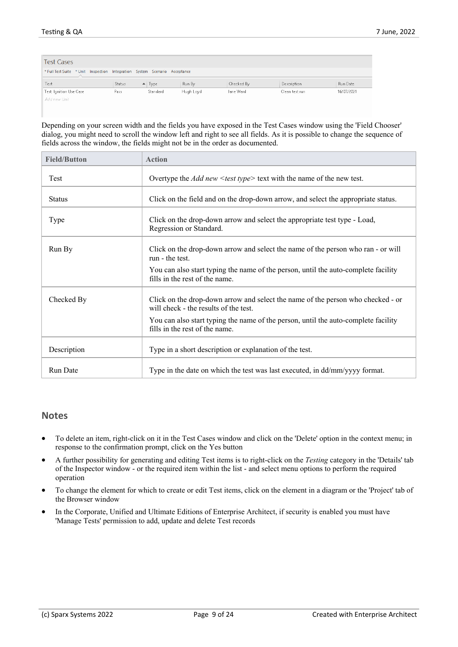| <b>Test Cases</b>                                                          |        |                       |           |            |                |            |
|----------------------------------------------------------------------------|--------|-----------------------|-----------|------------|----------------|------------|
| * Full Test Suite * Unit Inspection Integration System Scenario Acceptance |        |                       |           |            |                |            |
| Test                                                                       | Status | $\blacktriangle$ Type | Run By    | Checked By | Description    | Run Date   |
| Test Ignition Use Case                                                     | Pass   | Standard              | Hugh Loyd | Jane Ward  | Clean test run | 16/07/2021 |
| Add new Unit                                                               |        |                       |           |            |                |            |
|                                                                            |        |                       |           |            |                |            |

Depending on your screen width and the fields you have exposed in the Test Cases window using the 'Field Chooser' dialog, you might need to scroll the window left and right to see all fields. As it is possible to change the sequence of fields across the window, the fields might not be in the order as documented.

| <b>Field/Button</b> | <b>Action</b>                                                                                                            |
|---------------------|--------------------------------------------------------------------------------------------------------------------------|
| Test                | Overtype the <i>Add new <math>\leq</math> test type</i> $\geq$ text with the name of the new test.                       |
| <b>Status</b>       | Click on the field and on the drop-down arrow, and select the appropriate status.                                        |
| Type                | Click on the drop-down arrow and select the appropriate test type - Load,<br>Regression or Standard.                     |
| Run By              | Click on the drop-down arrow and select the name of the person who ran - or will<br>run - the test.                      |
|                     | You can also start typing the name of the person, until the auto-complete facility<br>fills in the rest of the name.     |
| Checked By          | Click on the drop-down arrow and select the name of the person who checked - or<br>will check - the results of the test. |
|                     | You can also start typing the name of the person, until the auto-complete facility<br>fills in the rest of the name.     |
| Description         | Type in a short description or explanation of the test.                                                                  |
| <b>Run Date</b>     | Type in the date on which the test was last executed, in dd/mm/yyyy format.                                              |

#### **Notes**

- · To delete an item, right-click on it in the Test Cases window and click on the 'Delete' option in the context menu; in response to the confirmation prompt, click on the Yes button
- · A further possibility for generating and editing Test items is to right-click on the *Testing* category in the 'Details' tab of the Inspector window - or the required item within the list -and select menu options to perform the required operation
- · To change the element for which to create or edit Test items, click on the element in a diagram or the 'Project' tab of the Browser window
- In the Corporate, Unified and Ultimate Editions of Enterprise Architect, if security is enabled you must have 'Manage Tests' permission to add, update and delete Test records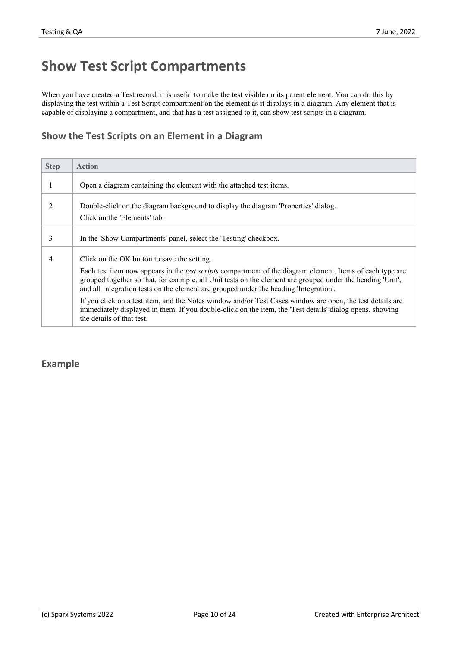# **Show Test Script Compartments**

When you have created a Test record, it is useful to make the test visible on its parent element. You can do this by displaying the test within a Test Script compartment on the element as it displays in a diagram. Any element that is capable of displaying a compartment, and that has a test assigned to it, can show test scripts in a diagram.

### **Show the Test Scriptson an Element in a Diagram**

| <b>Step</b> | <b>Action</b>                                                                                                                                                                                                                                                                                                                                                                                                                                                                                                                                                                                                                |
|-------------|------------------------------------------------------------------------------------------------------------------------------------------------------------------------------------------------------------------------------------------------------------------------------------------------------------------------------------------------------------------------------------------------------------------------------------------------------------------------------------------------------------------------------------------------------------------------------------------------------------------------------|
|             | Open a diagram containing the element with the attached test items.                                                                                                                                                                                                                                                                                                                                                                                                                                                                                                                                                          |
|             | Double-click on the diagram background to display the diagram 'Properties' dialog.<br>Click on the 'Elements' tab.                                                                                                                                                                                                                                                                                                                                                                                                                                                                                                           |
| 3           | In the 'Show Compartments' panel, select the 'Testing' checkbox.                                                                                                                                                                                                                                                                                                                                                                                                                                                                                                                                                             |
| 4           | Click on the OK button to save the setting.<br>Each test item now appears in the <i>test scripts</i> compartment of the diagram element. Items of each type are<br>grouped together so that, for example, all Unit tests on the element are grouped under the heading 'Unit',<br>and all Integration tests on the element are grouped under the heading 'Integration'.<br>If you click on a test item, and the Notes window and/or Test Cases window are open, the test details are<br>immediately displayed in them. If you double-click on the item, the 'Test details' dialog opens, showing<br>the details of that test. |

### **Example**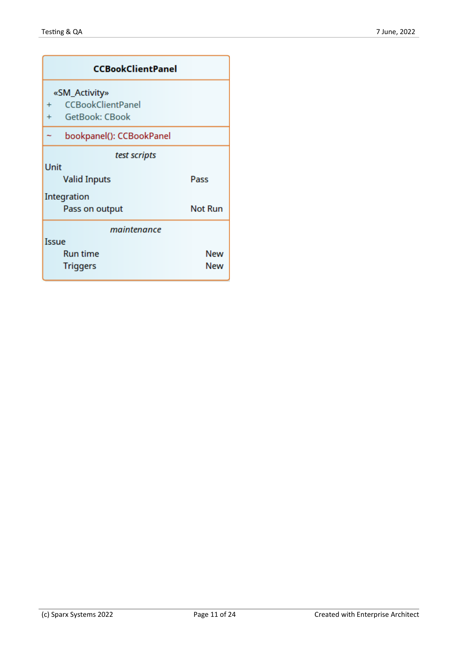| <b>CCBookClientPanel</b>                                                                               |            |  |  |  |  |
|--------------------------------------------------------------------------------------------------------|------------|--|--|--|--|
| «SM_Activity»<br><b>CCBookClientPanel</b><br>$\ddot{}$<br><b>GetBook: CBook</b><br>$+$                 |            |  |  |  |  |
| bookpanel(): CCBookPanel                                                                               |            |  |  |  |  |
| test scripts<br>Unit<br><b>Valid Inputs</b><br>Pass<br>Integration<br><b>Not Run</b><br>Pass on output |            |  |  |  |  |
| maintenance                                                                                            |            |  |  |  |  |
| Issue<br><b>Run time</b><br><b>Triggers</b>                                                            | New<br>New |  |  |  |  |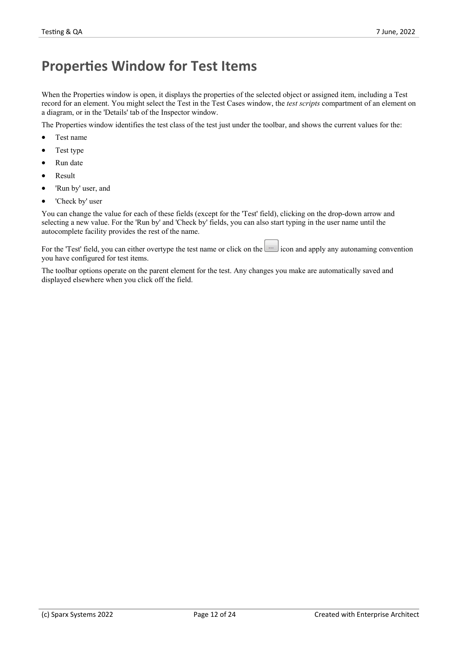# **Properties Window for Test Items**

When the Properties window is open, it displays the properties of the selected object or assigned item, including a Test record for an element. You might select the Test in the Test Cases window, the *test scripts* compartment of an element on a diagram, or in the 'Details' tab of the Inspector window.

The Properties window identifies the test class of the test just under the toolbar, and shows the currentvalues for the:

- Test name
- Test type
- Run date
- · Result
- 'Run by' user, and
- 'Check by' user

You can change the value for each of these fields (except for the 'Test' field), clicking on the drop-down arrow and selecting a new value. For the 'Run by' and 'Check by' fields, you can also start typing in the user name until the autocomplete facility provides the rest of the name.

For the 'Test' field, you can either overtype the test name or click on the icon and apply any autonaming convention you have configured for test items.

The toolbar options operate on the parent element for the test. Any changes you make are automatically saved and displayed elsewhere when you click off the field.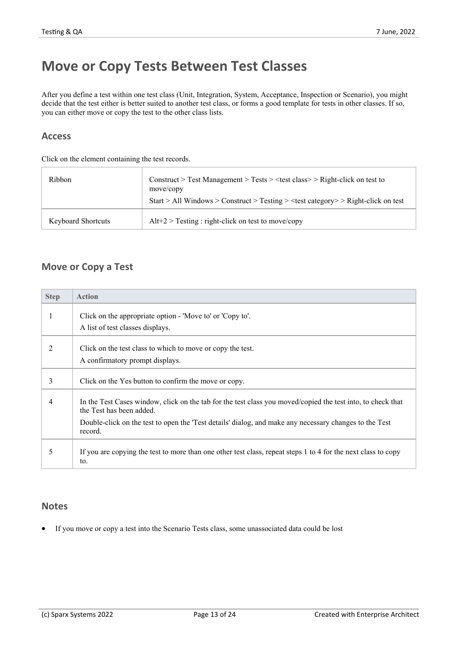# **Move or Copy Tests Between Test Classes**

After you define a test within one test class (Unit, Integration, System, Acceptance, Inspection or Scenario), you might decide that the test either is better suited to another test class, or forms a good template for tests in other classes. If so, you can either move or copy the test to the other class lists.

#### **Access**

Click on the element containing the test records.

| Ribbon                    | Construct > Test Management > Tests > $\lt$ test class > > Right-click on test to<br>move/copy<br>Start > All Windows > Construct > Testing > $\langle$ test category > $>$ Right-click on test |
|---------------------------|-------------------------------------------------------------------------------------------------------------------------------------------------------------------------------------------------|
| <b>Keyboard Shortcuts</b> | $Alt+2$ > Testing : right-click on test to move/copy                                                                                                                                            |

### **Move or Copy a Test**

| <b>Step</b> | <b>Action</b>                                                                                                                           |
|-------------|-----------------------------------------------------------------------------------------------------------------------------------------|
|             | Click on the appropriate option - 'Move to' or 'Copy to'.<br>A list of test classes displays.                                           |
| 2           | Click on the test class to which to move or copy the test.<br>A confirmatory prompt displays.                                           |
| 3           | Click on the Yes button to confirm the move or copy.                                                                                    |
| 4           | In the Test Cases window, click on the tab for the test class you moved/copied the test into, to check that<br>the Test has been added. |
|             | Double-click on the test to open the 'Test details' dialog, and make any necessary changes to the Test<br>record.                       |
| 5           | If you are copying the test to more than one other test class, repeat steps 1 to 4 for the next class to copy<br>to.                    |

### **Notes**

· If you move or copy a test into the Scenario Tests class, some unassociated data could be lost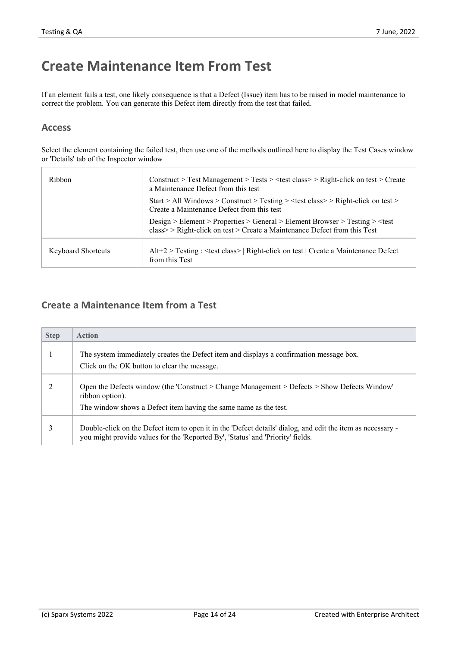# **Create Maintenance Item From Test**

If an element fails a test,one likely consequence is that a Defect (Issue) item has to be raised in model maintenance to correct the problem. You can generate this Defect item directly from the test that failed.

### **Access**

Select the element containing the failed test, then use one of the methods outlined here to display the Test Cases window or 'Details' tab of the Inspector window

| Ribbon                    | Construct > Test Management > Tests > <test class=""> &gt; Right-click on test &gt; Create<br/>a Maintenance Defect from this test</test>         |
|---------------------------|---------------------------------------------------------------------------------------------------------------------------------------------------|
|                           | Start > All Windows > Construct > Testing > $\lt$ test class > > Right-click on test ><br>Create a Maintenance Defect from this test              |
|                           | $Design > Element > Properties > General > Element Brouser > Testing > class >> Right-click on test > Create a Maintenance Defect from this Test$ |
| <b>Keyboard Shortcuts</b> | $Alt+2$ Testing : <test class="">   Right-click on test   Create a Maintenance Defect<br/>from this Test</test>                                   |

### **Create a Maintenance Item from a Test**

| <b>Step</b> | <b>Action</b>                                                                                                                                                                                  |
|-------------|------------------------------------------------------------------------------------------------------------------------------------------------------------------------------------------------|
|             | The system immediately creates the Defect item and displays a confirmation message box.<br>Click on the OK button to clear the message.                                                        |
|             | Open the Defects window (the 'Construct > Change Management > Defects > Show Defects Window'<br>ribbon option).<br>The window shows a Defect item having the same name as the test.            |
|             | Double-click on the Defect item to open it in the 'Defect details' dialog, and edit the item as necessary -<br>you might provide values for the 'Reported By', 'Status' and 'Priority' fields. |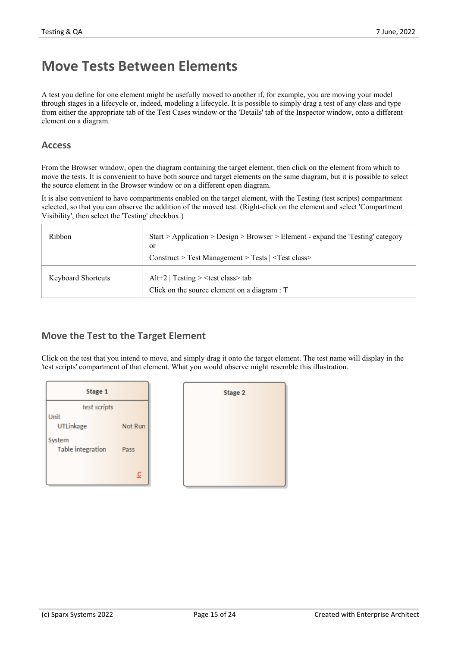# **Move Tests Between Elements**

A test you define for one element might be usefully moved to another if, for example, you are moving your model through stages in a lifecycle or, indeed, modeling a lifecycle. It is possible to simply drag a test of any class and type from either the appropriate tab of the Test Cases window or the 'Details' tab of the Inspector window, onto a different element on a diagram.

#### **Access**

From the Browser window, open the diagram containing the target element, then click on the element from which to move the tests. It is convenient to have both source and target elements on the same diagram, but it is possible to select the source element in the Browser window or on a different open diagram.

It is also convenient to have compartments enabled on the target element, with the Testing (test scripts) compartment selected, so that you can observe the addition of the moved test. (Right-click on the element and select 'Compartment Visibility', then select the 'Testing' checkbox.)

| Ribbon                    | $Start > Application > Design > Browser > Element - expand the 'Testing' category$<br>or<br>Construct > Test Management > Tests   <test class=""></test> |
|---------------------------|----------------------------------------------------------------------------------------------------------------------------------------------------------|
| <b>Keyboard Shortcuts</b> | Alt+2   Testing $>$ <test class<math="">&gt; tab<br/>Click on the source element on a diagram <math>: T</math></test>                                    |

### **Move the Test to the Target Element**

Click on the test that you intend to move, and simply drag it onto the target element. The test name will display in the 'test scripts' compartment of that element. What you would observe might resemble this illustration.

| Stage 1           |         |
|-------------------|---------|
| test scripts      |         |
| Unit              |         |
| <b>UTLinkage</b>  | Not Run |
| System            |         |
| Table integration | Pass    |
|                   |         |
|                   | с       |
|                   |         |

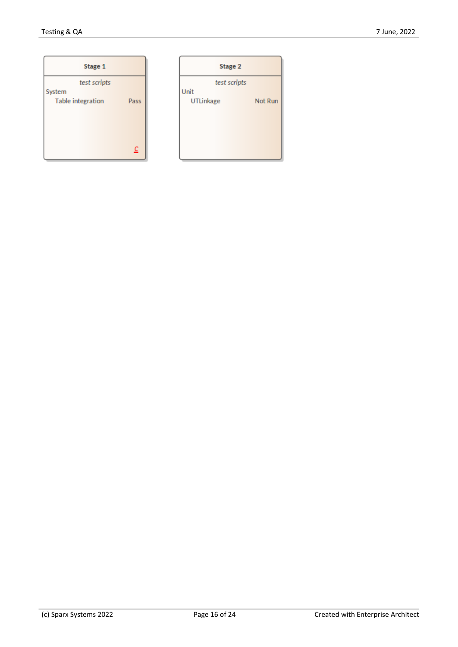| Stage 1                  |      |
|--------------------------|------|
| test scripts             |      |
| System                   |      |
| <b>Table integration</b> | Pass |
|                          |      |
|                          |      |
|                          |      |
|                          |      |
|                          | C    |
|                          |      |

|           | Stage 2      |         |
|-----------|--------------|---------|
|           | test scripts |         |
| Unit      |              |         |
| UTLinkage |              | Not Run |
|           |              |         |
|           |              |         |
|           |              |         |
|           |              |         |
|           |              |         |
|           |              |         |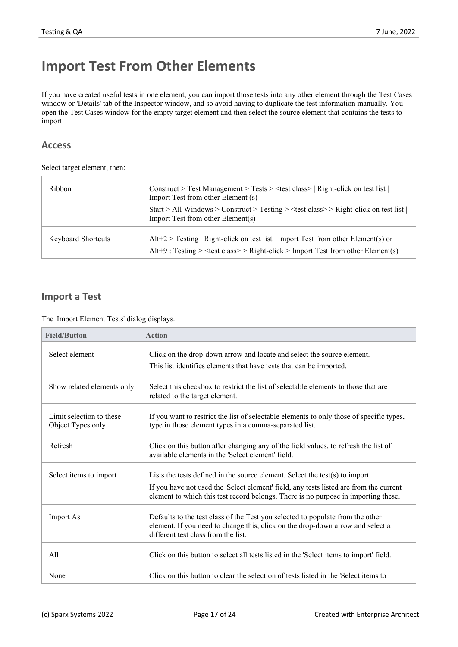# **Import Test From Other Elements**

If you have created useful tests in one element, you can import those tests into any other element through the Test Cases window or 'Details' tab of the Inspector window, and so avoid having to duplicate the test information manually. You open the Test Cases window for the empty target element and then select the source element that contains the tests to import.

### **Access**

Select target element, then:

| Ribbon                    | Construct > Test Management > Tests > <test class="">   Right-click on test list  <br/>Import Test from other Element (s)<br/>Start &gt; All Windows &gt; Construct &gt; Testing &gt; <math>\text{test class}</math> &gt; Right-click on test list  <br/>Import Test from other Element(s)</test> |
|---------------------------|---------------------------------------------------------------------------------------------------------------------------------------------------------------------------------------------------------------------------------------------------------------------------------------------------|
| <b>Keyboard Shortcuts</b> | $Alt+2$ > Testing   Right-click on test list   Import Test from other Element(s) or<br>Alt+9 : Testing > <test class="">&gt; Right-click &gt; Import Test from other Element(s)</test>                                                                                                            |

### **Import a Test**

The 'Import Element Tests' dialog displays.

| <b>Field/Button</b>                           | <b>Action</b>                                                                                                                                                                                           |
|-----------------------------------------------|---------------------------------------------------------------------------------------------------------------------------------------------------------------------------------------------------------|
| Select element                                | Click on the drop-down arrow and locate and select the source element.                                                                                                                                  |
|                                               | This list identifies elements that have tests that can be imported.                                                                                                                                     |
| Show related elements only                    | Select this checkbox to restrict the list of selectable elements to those that are<br>related to the target element.                                                                                    |
| Limit selection to these<br>Object Types only | If you want to restrict the list of selectable elements to only those of specific types,<br>type in those element types in a comma-separated list.                                                      |
| Refresh                                       | Click on this button after changing any of the field values, to refresh the list of<br>available elements in the 'Select element' field.                                                                |
| Select items to import                        | Lists the tests defined in the source element. Select the test(s) to import.                                                                                                                            |
|                                               | If you have not used the 'Select element' field, any tests listed are from the current<br>element to which this test record belongs. There is no purpose in importing these.                            |
| <b>Import As</b>                              | Defaults to the test class of the Test you selected to populate from the other<br>element. If you need to change this, click on the drop-down arrow and select a<br>different test class from the list. |
| A11                                           | Click on this button to select all tests listed in the 'Select items to import' field.                                                                                                                  |
| None                                          | Click on this button to clear the selection of tests listed in the Select items to                                                                                                                      |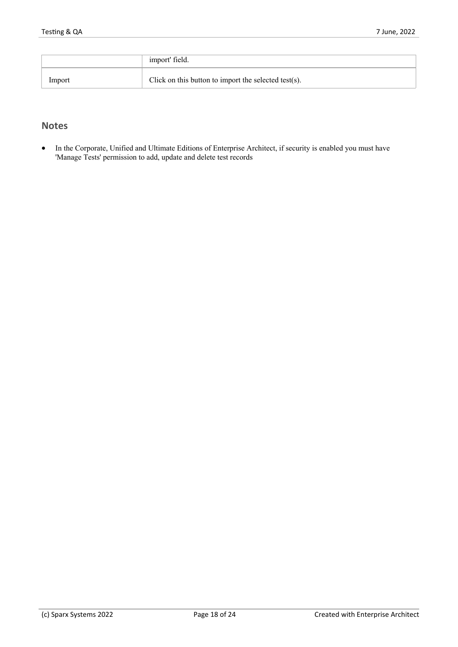|        | import' field.                                           |
|--------|----------------------------------------------------------|
| Import | Click on this button to import the selected test $(s)$ . |

### **Notes**

· In the Corporate, Unified and Ultimate Editions of Enterprise Architect, if security is enabled you must have 'Manage Tests' permission to add, update and delete test records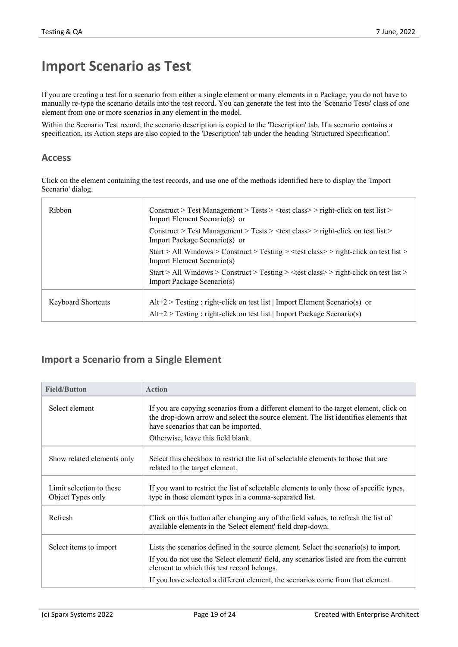# **Import Scenario as Test**

If you are creating a test for a scenario from either a single element or many elements in a Package, you do not have to manually re-type the scenario details into the test record. You can generate the testinto the 'Scenario Tests' class ofone element from one or more scenarios in any element in the model.

Within the Scenario Test record, the scenario description is copied to the 'Description' tab. If a scenario contains a specification, its Action steps are also copied to the 'Description' tab under the heading 'Structured Specification'.

#### **Access**

Click on the element containing the test records, and use one of the methods identified here to display the 'Import Scenario' dialog.

| Ribbon                    | Construct > Test Management > Tests > $\lt$ test class > > right-click on test list ><br>Import Element Scenario(s) or                                    |
|---------------------------|-----------------------------------------------------------------------------------------------------------------------------------------------------------|
|                           | Construct > Test Management > Tests > $\lt$ test class > > right-click on test list ><br>Import Package Scenario(s) or                                    |
|                           | Start > All Windows > Construct > Testing > $\lt$ test class > $>$ right-click on test list ><br>Import Element Scenario(s)                               |
|                           | Start > All Windows > Construct > Testing > < test class > > right-click on test list ><br>Import Package Scenario(s)                                     |
| <b>Keyboard Shortcuts</b> | $Alt+2$ > Testing : right-click on test list   Import Element Scenario(s) or<br>$Alt+2$ > Testing : right-click on test list   Import Package Scenario(s) |

### **Import a Scenario from a Single Element**

| <b>Field/Button</b>                           | <b>Action</b>                                                                                                                                                                                                                                               |
|-----------------------------------------------|-------------------------------------------------------------------------------------------------------------------------------------------------------------------------------------------------------------------------------------------------------------|
| Select element                                | If you are copying scenarios from a different element to the target element, click on<br>the drop-down arrow and select the source element. The list identifies elements that<br>have scenarios that can be imported.<br>Otherwise, leave this field blank. |
| Show related elements only                    | Select this checkbox to restrict the list of selectable elements to those that are<br>related to the target element.                                                                                                                                        |
| Limit selection to these<br>Object Types only | If you want to restrict the list of selectable elements to only those of specific types,<br>type in those element types in a comma-separated list.                                                                                                          |
| Refresh                                       | Click on this button after changing any of the field values, to refresh the list of<br>available elements in the 'Select element' field drop-down.                                                                                                          |
| Select items to import                        | Lists the scenarios defined in the source element. Select the scenario(s) to import.                                                                                                                                                                        |
|                                               | If you do not use the 'Select element' field, any scenarios listed are from the current<br>element to which this test record belongs.                                                                                                                       |
|                                               | If you have selected a different element, the scenarios come from that element.                                                                                                                                                                             |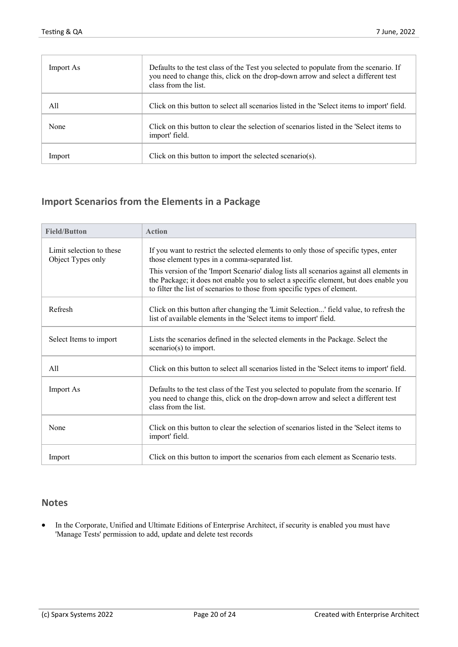| Import As | Defaults to the test class of the Test you selected to populate from the scenario. If<br>you need to change this, click on the drop-down arrow and select a different test<br>class from the list. |
|-----------|----------------------------------------------------------------------------------------------------------------------------------------------------------------------------------------------------|
| All       | Click on this button to select all scenarios listed in the 'Select items to import' field.                                                                                                         |
| None      | Click on this button to clear the selection of scenarios listed in the Select items to<br>import' field.                                                                                           |
| Import    | Click on this button to import the selected scenario(s).                                                                                                                                           |

# **Import Scenarios from the Elements in a Package**

| <b>Field/Button</b>                           | <b>Action</b>                                                                                                                                                                                                                                                 |
|-----------------------------------------------|---------------------------------------------------------------------------------------------------------------------------------------------------------------------------------------------------------------------------------------------------------------|
| Limit selection to these<br>Object Types only | If you want to restrict the selected elements to only those of specific types, enter<br>those element types in a comma-separated list.                                                                                                                        |
|                                               | This version of the 'Import Scenario' dialog lists all scenarios against all elements in<br>the Package; it does not enable you to select a specific element, but does enable you<br>to filter the list of scenarios to those from specific types of element. |
| Refresh                                       | Click on this button after changing the 'Limit Selection' field value, to refresh the<br>list of available elements in the 'Select items to import' field.                                                                                                    |
| Select Items to import                        | Lists the scenarios defined in the selected elements in the Package. Select the<br>$scenario(s)$ to import.                                                                                                                                                   |
| A11                                           | Click on this button to select all scenarios listed in the 'Select items to import' field.                                                                                                                                                                    |
| <b>Import As</b>                              | Defaults to the test class of the Test you selected to populate from the scenario. If<br>you need to change this, click on the drop-down arrow and select a different test<br>class from the list.                                                            |
| None                                          | Click on this button to clear the selection of scenarios listed in the 'Select items to<br>import' field.                                                                                                                                                     |
| Import                                        | Click on this button to import the scenarios from each element as Scenario tests.                                                                                                                                                                             |

### **Notes**

· In the Corporate, Unified and Ultimate Editions of Enterprise Architect, if security is enabled you must have 'Manage Tests' permission to add, update and delete test records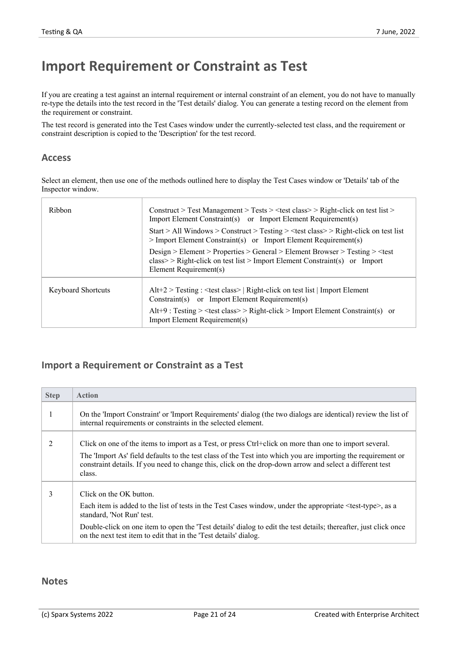# **Import Requirement or Constraint as Test**

If you are creating a test against an internal requirement or internal constraint of an element, you do not have to manually re-type the details into the test record in the 'Test details' dialog. You can generate a testing record on the element from the requirement or constraint.

The test record is generated into the Test Cases window under the currently-selected test class, and the requirement or constraint description is copied to the 'Description' for the test record.

#### **Access**

Select an element, then use one of the methods outlined here to display the Test Cases window or 'Details' tab of the Inspector window.

| Ribbon                    | Construct > Test Management > Tests > $\lt$ test class > > Right-click on test list ><br>Import Element Constraint(s) or Import Element Requirement(s)                  |
|---------------------------|-------------------------------------------------------------------------------------------------------------------------------------------------------------------------|
|                           | Start > All Windows > Construct > Testing > $\lt$ test class > $>$ Right-click on test list<br>$>$ Import Element Constraint(s) or Import Element Requirement(s)        |
|                           | $Design > Element > Properties > General > Element Brouser > Testing > class > Right-click on test list > Import Element Constraint(s) or ImportElement Requirement(s)$ |
| <b>Keyboard Shortcuts</b> | $Alt+2$ > Testing : <test class="">   Right-click on test list   Import Element<br/>Constraint(s) or Import Element Requirement(s)</test>                               |
|                           | Alt+9 : Testing > <test class="">&gt; Right-click &gt; Import Element Constraint(s) or<br/><b>Import Element Requirement(s)</b></test>                                  |
|                           |                                                                                                                                                                         |

### **Import a Requirement or Constraint as a Test**

| <b>Step</b> | <b>Action</b>                                                                                                                                                                                                                      |
|-------------|------------------------------------------------------------------------------------------------------------------------------------------------------------------------------------------------------------------------------------|
|             | On the 'Import Constraint' or 'Import Requirements' dialog (the two dialogs are identical) review the list of<br>internal requirements or constraints in the selected element.                                                     |
| 2           | Click on one of the items to import as a Test, or press Ctrl+click on more than one to import several.                                                                                                                             |
|             | The 'Import As' field defaults to the test class of the Test into which you are importing the requirement or<br>constraint details. If you need to change this, click on the drop-down arrow and select a different test<br>class. |
| 3           | Click on the OK button.                                                                                                                                                                                                            |
|             | Each item is added to the list of tests in the Test Cases window, under the appropriate <test-type>, as a<br/>standard, 'Not Run' test.</test-type>                                                                                |
|             | Double-click on one item to open the 'Test details' dialog to edit the test details; thereafter, just click once<br>on the next test item to edit that in the 'Test details' dialog.                                               |

#### **Notes**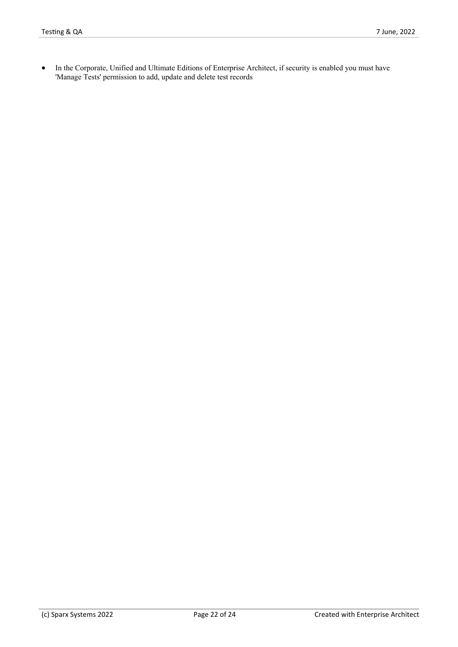· In the Corporate, Unified and Ultimate Editions of Enterprise Architect, if security is enabled you must have 'Manage Tests' permission to add, update and delete test records